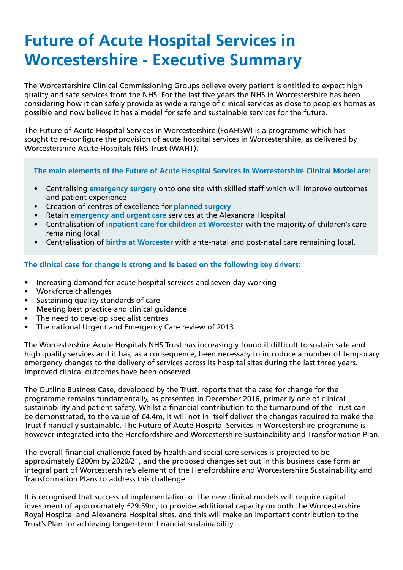# **Future of Acute Hospital Services in Worcestershire - Executive Summary**

The Worcestershire Clinical Commissioning Groups believe every patient is entitled to expect high quality and safe services from the NHS. For the last five years the NHS in Worcestershire has been considering how it can safely provide as wide a range of clinical services as close to people's homes as possible and now believe it has a model for safe and sustainable services for the future.

The Future of Acute Hospital Services in Worcestershire (FoAHSW) is a programme which has sought to re-configure the provision of acute hospital services in Worcestershire, as delivered by Worcestershire Acute Hospitals NHS Trust (WAHT).

### **The main elements of the Future of Acute Hospital Services in Worcestershire Clinical Model are:**

- Centralising **emergency surgery** onto one site with skilled staff which will improve outcomes and patient experience
- Creation of centres of excellence for **planned surgery**
- Retain **emergency and urgent care** services at the Alexandra Hospital
- Centralisation of **inpatient care for children at Worcester** with the majority of children's care remaining local
- Centralisation of **births at Worcester** with ante-natal and post-natal care remaining local.

## **The clinical case for change is strong and is based on the following key drivers:**

- Increasing demand for acute hospital services and seven-day working
- Workforce challenges
- Sustaining quality standards of care
- Meeting best practice and clinical guidance
- The need to develop specialist centres
- The national Urgent and Emergency Care review of 2013.

The Worcestershire Acute Hospitals NHS Trust has increasingly found it difficult to sustain safe and high quality services and it has, as a consequence, been necessary to introduce a number of temporary emergency changes to the delivery of services across its hospital sites during the last three years. Improved clinical outcomes have been observed.

The Outline Business Case, developed by the Trust, reports that the case for change for the programme remains fundamentally, as presented in December 2016, primarily one of clinical sustainability and patient safety. Whilst a financial contribution to the turnaround of the Trust can be demonstrated, to the value of £4.4m, it will not in itself deliver the changes required to make the Trust financially sustainable. The Future of Acute Hospital Services in Worcestershire programme is however integrated into the Herefordshire and Worcestershire Sustainability and Transformation Plan.

The overall financial challenge faced by health and social care services is projected to be approximately £200m by 2020/21, and the proposed changes set out in this business case form an integral part of Worcestershire's element of the Herefordshire and Worcestershire Sustainability and Transformation Plans to address this challenge.

It is recognised that successful implementation of the new clinical models will require capital investment of approximately £29.59m, to provide additional capacity on both the Worcestershire Royal Hospital and Alexandra Hospital sites, and this will make an important contribution to the Trust's Plan for achieving longer-term financial sustainability.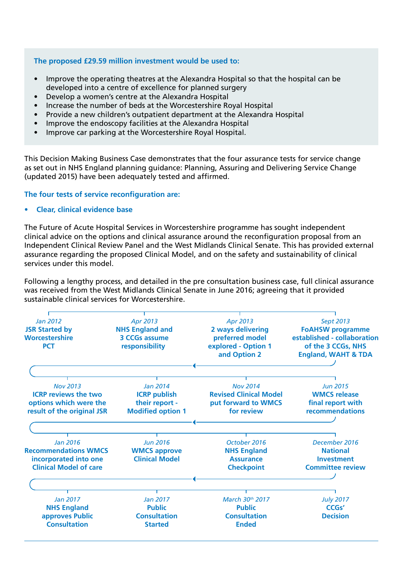### **The proposed £29.59 million investment would be used to:**

- Improve the operating theatres at the Alexandra Hospital so that the hospital can be developed into a centre of excellence for planned surgery
- Develop a women's centre at the Alexandra Hospital
- Increase the number of beds at the Worcestershire Royal Hospital
- Provide a new children's outpatient department at the Alexandra Hospital
- Improve the endoscopy facilities at the Alexandra Hospital
- Improve car parking at the Worcestershire Royal Hospital.

This Decision Making Business Case demonstrates that the four assurance tests for service change as set out in NHS England planning guidance: Planning, Assuring and Delivering Service Change (updated 2015) have been adequately tested and affirmed.

### **The four tests of service reconfiguration are:**

**• Clear, clinical evidence base**

The Future of Acute Hospital Services in Worcestershire programme has sought independent clinical advice on the options and clinical assurance around the reconfiguration proposal from an Independent Clinical Review Panel and the West Midlands Clinical Senate. This has provided external assurance regarding the proposed Clinical Model, and on the safety and sustainability of clinical services under this model.

Following a lengthy process, and detailed in the pre consultation business case, full clinical assurance was received from the West Midlands Clinical Senate in June 2016; agreeing that it provided sustainable clinical services for Worcestershire.

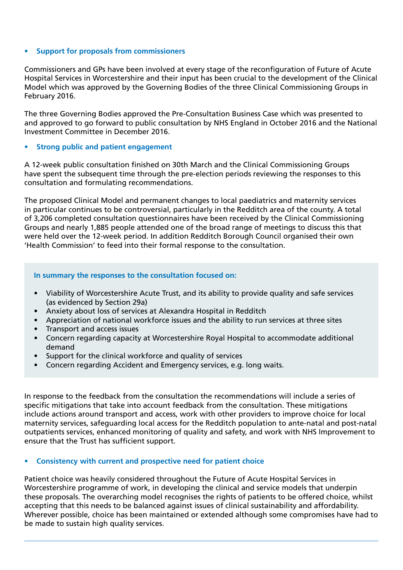#### **• Support for proposals from commissioners**

Commissioners and GPs have been involved at every stage of the reconfiguration of Future of Acute Hospital Services in Worcestershire and their input has been crucial to the development of the Clinical Model which was approved by the Governing Bodies of the three Clinical Commissioning Groups in February 2016.

The three Governing Bodies approved the Pre-Consultation Business Case which was presented to and approved to go forward to public consultation by NHS England in October 2016 and the National Investment Committee in December 2016.

### **• Strong public and patient engagement**

A 12-week public consultation finished on 30th March and the Clinical Commissioning Groups have spent the subsequent time through the pre-election periods reviewing the responses to this consultation and formulating recommendations.

The proposed Clinical Model and permanent changes to local paediatrics and maternity services in particular continues to be controversial, particularly in the Redditch area of the county. A total of 3,206 completed consultation questionnaires have been received by the Clinical Commissioning Groups and nearly 1,885 people attended one of the broad range of meetings to discuss this that were held over the 12-week period. In addition Redditch Borough Council organised their own 'Health Commission' to feed into their formal response to the consultation.

#### **In summary the responses to the consultation focused on:**

- Viability of Worcestershire Acute Trust, and its ability to provide quality and safe services (as evidenced by Section 29a)
- Anxiety about loss of services at Alexandra Hospital in Redditch
- Appreciation of national workforce issues and the ability to run services at three sites
- Transport and access issues
- Concern regarding capacity at Worcestershire Royal Hospital to accommodate additional demand
- Support for the clinical workforce and quality of services
- Concern regarding Accident and Emergency services, e.g. long waits.

In response to the feedback from the consultation the recommendations will include a series of specific mitigations that take into account feedback from the consultation. These mitigations include actions around transport and access, work with other providers to improve choice for local maternity services, safeguarding local access for the Redditch population to ante-natal and post-natal outpatients services, enhanced monitoring of quality and safety, and work with NHS Improvement to ensure that the Trust has sufficient support.

#### **• Consistency with current and prospective need for patient choice**

Patient choice was heavily considered throughout the Future of Acute Hospital Services in Worcestershire programme of work, in developing the clinical and service models that underpin these proposals. The overarching model recognises the rights of patients to be offered choice, whilst accepting that this needs to be balanced against issues of clinical sustainability and affordability. Wherever possible, choice has been maintained or extended although some compromises have had to be made to sustain high quality services.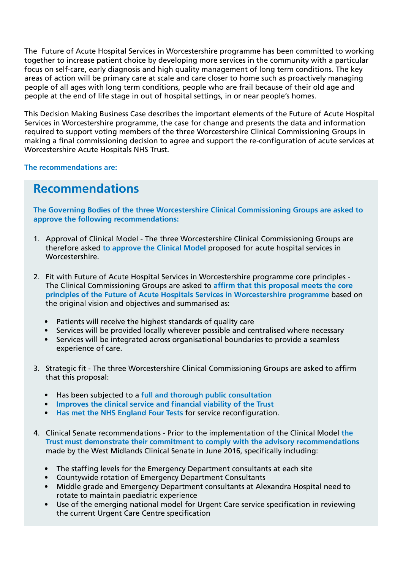The Future of Acute Hospital Services in Worcestershire programme has been committed to working together to increase patient choice by developing more services in the community with a particular focus on self-care, early diagnosis and high quality management of long term conditions. The key areas of action will be primary care at scale and care closer to home such as proactively managing people of all ages with long term conditions, people who are frail because of their old age and people at the end of life stage in out of hospital settings, in or near people's homes.

This Decision Making Business Case describes the important elements of the Future of Acute Hospital Services in Worcestershire programme, the case for change and presents the data and information required to support voting members of the three Worcestershire Clinical Commissioning Groups in making a final commissioning decision to agree and support the re-configuration of acute services at Worcestershire Acute Hospitals NHS Trust.

**The recommendations are:**

# **Recommendations**

**The Governing Bodies of the three Worcestershire Clinical Commissioning Groups are asked to approve the following recommendations:**

- 1. Approval of Clinical Model The three Worcestershire Clinical Commissioning Groups are therefore asked **to approve the Clinical Model** proposed for acute hospital services in Worcestershire.
- 2. Fit with Future of Acute Hospital Services in Worcestershire programme core principles The Clinical Commissioning Groups are asked to **affirm that this proposal meets the core principles of the Future of Acute Hospitals Services in Worcestershire programme** based on the original vision and objectives and summarised as:
	- Patients will receive the highest standards of quality care
	- Services will be provided locally wherever possible and centralised where necessary
	- Services will be integrated across organisational boundaries to provide a seamless experience of care.
- 3. Strategic fit The three Worcestershire Clinical Commissioning Groups are asked to affirm that this proposal:
	- Has been subjected to a **full and thorough public consultation**
	- **Improves the clinical service and financial viability of the Trust**
	- **• Has met the NHS England Four Tests** for service reconfiguration.
- 4. Clinical Senate recommendations Prior to the implementation of the Clinical Model **the Trust must demonstrate their commitment to comply with the advisory recommendations**  made by the West Midlands Clinical Senate in June 2016, specifically including:
	- The staffing levels for the Emergency Department consultants at each site
	- Countywide rotation of Emergency Department Consultants
	- Middle grade and Emergency Department consultants at Alexandra Hospital need to rotate to maintain paediatric experience
	- Use of the emerging national model for Urgent Care service specification in reviewing the current Urgent Care Centre specification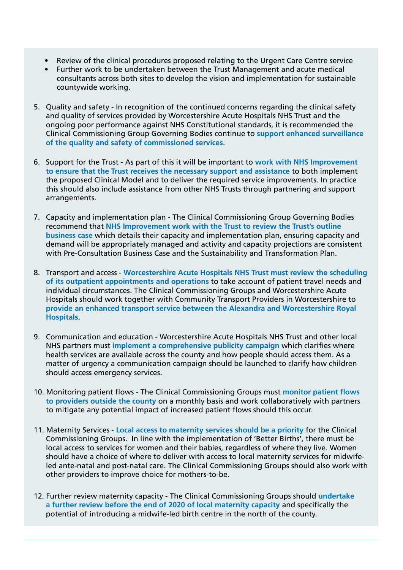- Review of the clinical procedures proposed relating to the Urgent Care Centre service
- Further work to be undertaken between the Trust Management and acute medical consultants across both sites to develop the vision and implementation for sustainable countywide working.
- 5. Quality and safety In recognition of the continued concerns regarding the clinical safety and quality of services provided by Worcestershire Acute Hospitals NHS Trust and the ongoing poor performance against NHS Constitutional standards, it is recommended the Clinical Commissioning Group Governing Bodies continue to **support enhanced surveillance of the quality and safety of commissioned services.**
- 6. Support for the Trust As part of this it will be important to **work with NHS Improvement to ensure that the Trust receives the necessary support and assistance** to both implement the proposed Clinical Model and to deliver the required service improvements. In practice this should also include assistance from other NHS Trusts through partnering and support arrangements.
- 7. Capacity and implementation plan The Clinical Commissioning Group Governing Bodies recommend that **NHS Improvement work with the Trust to review the Trust's outline business case** which details their capacity and implementation plan, ensuring capacity and demand will be appropriately managed and activity and capacity projections are consistent with Pre-Consultation Business Case and the Sustainability and Transformation Plan.
- 8. Transport and access **Worcestershire Acute Hospitals NHS Trust must review the scheduling of its outpatient appointments and operations** to take account of patient travel needs and individual circumstances. The Clinical Commissioning Groups and Worcestershire Acute Hospitals should work together with Community Transport Providers in Worcestershire to **provide an enhanced transport service between the Alexandra and Worcestershire Royal Hospitals**.
- 9. Communication and education Worcestershire Acute Hospitals NHS Trust and other local NHS partners must **implement a comprehensive publicity campaign** which clarifies where health services are available across the county and how people should access them. As a matter of urgency a communication campaign should be launched to clarify how children should access emergency services.
- 10. Monitoring patient flows The Clinical Commissioning Groups must **monitor patient flows to providers outside the county** on a monthly basis and work collaboratively with partners to mitigate any potential impact of increased patient flows should this occur.
- 11. Maternity Services **Local access to maternity services should be a priority** for the Clinical Commissioning Groups. In line with the implementation of 'Better Births', there must be local access to services for women and their babies, regardless of where they live. Women should have a choice of where to deliver with access to local maternity services for midwifeled ante-natal and post-natal care. The Clinical Commissioning Groups should also work with other providers to improve choice for mothers-to-be.
- 12. Further review maternity capacity The Clinical Commissioning Groups should **undertake a further review before the end of 2020 of local maternity capacity** and specifically the potential of introducing a midwife-led birth centre in the north of the county.